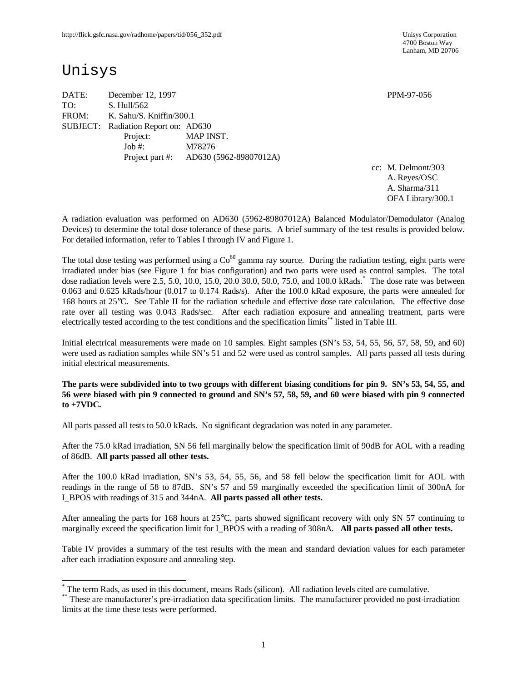4700 Boston Way Lanham, MD 20706

# Unisys

 $\overline{\phantom{a}}$ 

DATE: December 12, 1997 **PPM-97-056** TO: S. Hull/562 FROM: K. Sahu/S. Kniffin/300.1 SUBJECT: Radiation Report on: AD630 Project: MAP INST. Job #: M78276 Project part #: AD630 (5962-89807012A)

cc: M. Delmont/303 A. Reyes/OSC A. Sharma/311 OFA Library/300.1

A radiation evaluation was performed on AD630 (5962-89807012A) Balanced Modulator/Demodulator (Analog Devices) to determine the total dose tolerance of these parts. A brief summary of the test results is provided below. For detailed information, refer to Tables I through IV and Figure 1.

The total dose testing was performed using a  $Co<sup>60</sup>$  gamma ray source. During the radiation testing, eight parts were irradiated under bias (see Figure 1 for bias configuration) and two parts were used as control samples. The total dose radiation levels were 2.5, 5.0, 10.0, 15.0, 20.0 30.0, 50.0, 75.0, and 100.0 kRads. \* The dose rate was between 0.063 and 0.625 kRads/hour (0.017 to 0.174 Rads/s). After the 100.0 kRad exposure, the parts were annealed for 168 hours at 25°C. See Table II for the radiation schedule and effective dose rate calculation. The effective dose rate over all testing was 0.043 Rads/sec. After each radiation exposure and annealing treatment, parts were electrically tested according to the test conditions and the specification limits\*\* listed in Table III.

Initial electrical measurements were made on 10 samples. Eight samples (SN's 53, 54, 55, 56, 57, 58, 59, and 60) were used as radiation samples while SN's 51 and 52 were used as control samples. All parts passed all tests during initial electrical measurements.

**The parts were subdivided into to two groups with different biasing conditions for pin 9. SN's 53, 54, 55, and 56 were biased with pin 9 connected to ground and SN's 57, 58, 59, and 60 were biased with pin 9 connected to +7VDC.**

All parts passed all tests to 50.0 kRads. No significant degradation was noted in any parameter.

After the 75.0 kRad irradiation, SN 56 fell marginally below the specification limit of 90dB for AOL with a reading of 86dB. **All parts passed all other tests.**

After the 100.0 kRad irradiation, SN's 53, 54, 55, 56, and 58 fell below the specification limit for AOL with readings in the range of 58 to 87dB. SN's 57 and 59 marginally exceeded the specification limit of 300nA for I\_BPOS with readings of 315 and 344nA. **All parts passed all other tests.**

After annealing the parts for 168 hours at 25°C, parts showed significant recovery with only SN 57 continuing to marginally exceed the specification limit for I\_BPOS with a reading of 308nA. **All parts passed all other tests.** 

Table IV provides a summary of the test results with the mean and standard deviation values for each parameter after each irradiation exposure and annealing step.

<sup>\*</sup> The term Rads, as used in this document, means Rads (silicon). All radiation levels cited are cumulative.

<sup>\*\*</sup> These are manufacturer's pre-irradiation data specification limits. The manufacturer provided no post-irradiation limits at the time these tests were performed.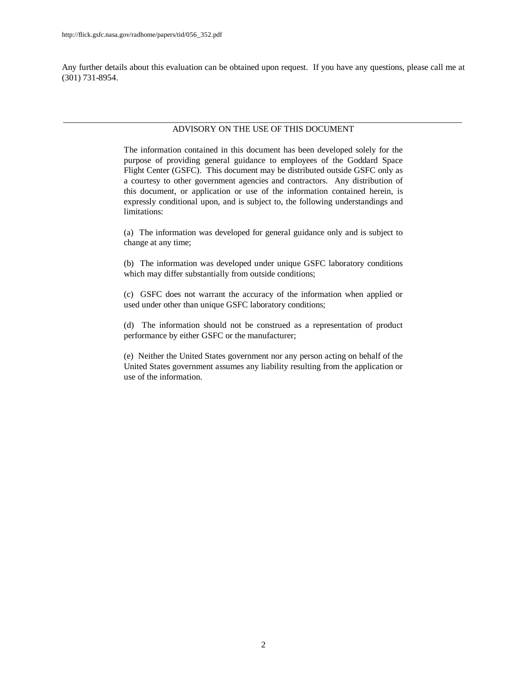Any further details about this evaluation can be obtained upon request. If you have any questions, please call me at (301) 731-8954.

#### \_\_\_\_\_\_\_\_\_\_\_\_\_\_\_\_\_\_\_\_\_\_\_\_\_\_\_\_\_\_\_\_\_\_\_\_\_\_\_\_\_\_\_\_\_\_\_\_\_\_\_\_\_\_\_\_\_\_\_\_\_\_\_\_\_\_\_\_\_\_\_\_\_\_\_\_\_\_\_\_\_\_\_\_\_\_\_\_\_\_\_\_ ADVISORY ON THE USE OF THIS DOCUMENT

The information contained in this document has been developed solely for the purpose of providing general guidance to employees of the Goddard Space Flight Center (GSFC). This document may be distributed outside GSFC only as a courtesy to other government agencies and contractors. Any distribution of this document, or application or use of the information contained herein, is expressly conditional upon, and is subject to, the following understandings and limitations:

(a) The information was developed for general guidance only and is subject to change at any time;

(b) The information was developed under unique GSFC laboratory conditions which may differ substantially from outside conditions;

(c) GSFC does not warrant the accuracy of the information when applied or used under other than unique GSFC laboratory conditions;

(d) The information should not be construed as a representation of product performance by either GSFC or the manufacturer;

(e) Neither the United States government nor any person acting on behalf of the United States government assumes any liability resulting from the application or use of the information.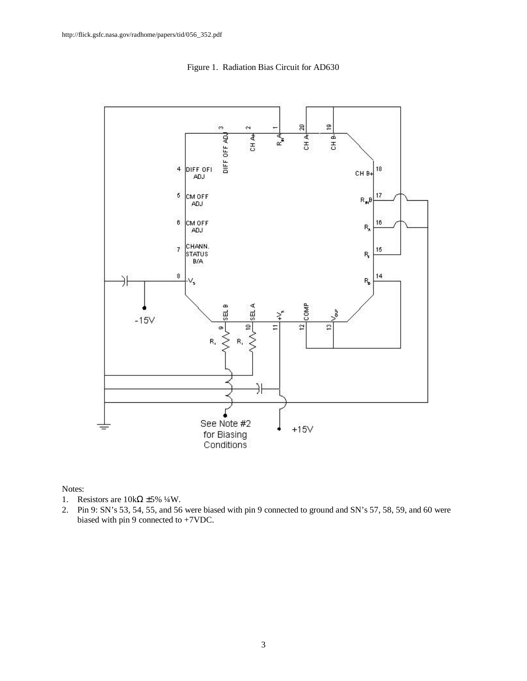

Figure 1. Radiation Bias Circuit for AD630

Notes:

- 1. Resistors are  $10k\Omega \pm 5\% 4W$ .
- 2. Pin 9: SN's 53, 54, 55, and 56 were biased with pin 9 connected to ground and SN's 57, 58, 59, and 60 were biased with pin 9 connected to +7VDC.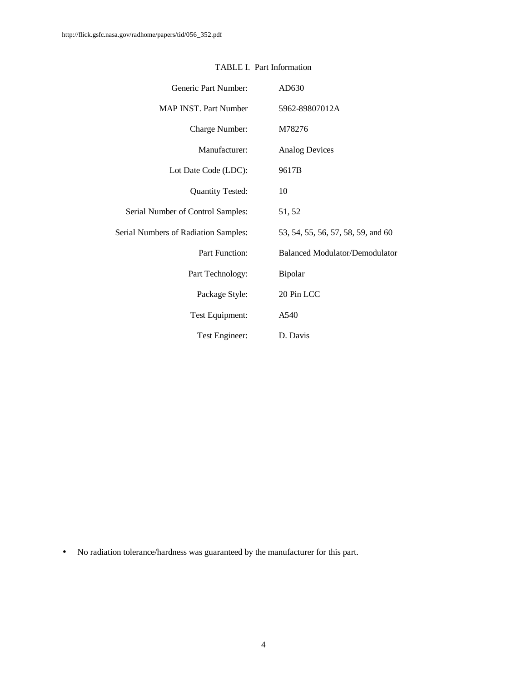| Generic Part Number:                        | AD630                                 |
|---------------------------------------------|---------------------------------------|
| <b>MAP INST. Part Number</b>                | 5962-89807012A                        |
| Charge Number:                              | M78276                                |
| Manufacturer:                               | <b>Analog Devices</b>                 |
| Lot Date Code (LDC):                        | 9617B                                 |
| <b>Quantity Tested:</b>                     | 10                                    |
| Serial Number of Control Samples:           | 51, 52                                |
| <b>Serial Numbers of Radiation Samples:</b> | 53, 54, 55, 56, 57, 58, 59, and 60    |
| Part Function:                              | <b>Balanced Modulator/Demodulator</b> |
| Part Technology:                            | <b>Bipolar</b>                        |
| Package Style:                              | 20 Pin LCC                            |
| Test Equipment:                             | A540                                  |
| Test Engineer:                              | D. Davis                              |

### TABLE I. Part Information

• No radiation tolerance/hardness was guaranteed by the manufacturer for this part.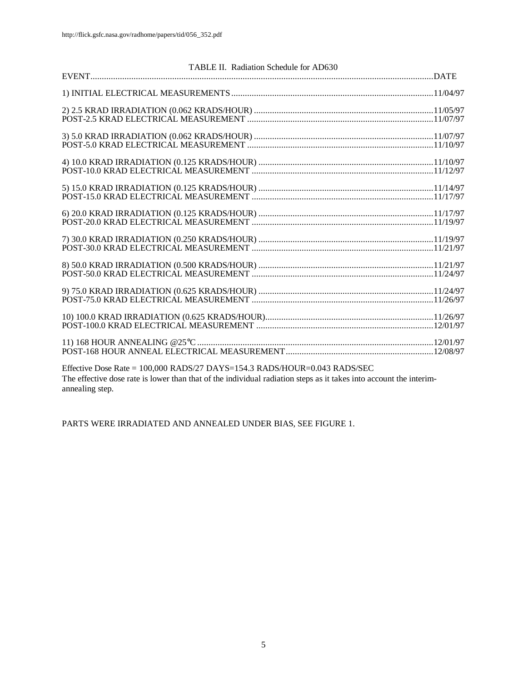| TABLE II. Radiation Schedule for AD630 |  |
|----------------------------------------|--|
|                                        |  |
|                                        |  |
|                                        |  |
|                                        |  |
|                                        |  |
|                                        |  |
|                                        |  |
|                                        |  |
|                                        |  |
|                                        |  |
|                                        |  |
|                                        |  |
|                                        |  |
|                                        |  |
|                                        |  |
|                                        |  |
|                                        |  |
|                                        |  |
|                                        |  |
|                                        |  |
|                                        |  |
|                                        |  |
| _ .___ ._ ._. _ _ _ ._ ._ _            |  |

Effective Dose Rate = 100,000 RADS/27 DAYS=154.3 RADS/HOUR=0.043 RADS/SEC The effective dose rate is lower than that of the individual radiation steps as it takes into account the interimannealing step.

PARTS WERE IRRADIATED AND ANNEALED UNDER BIAS, SEE FIGURE 1.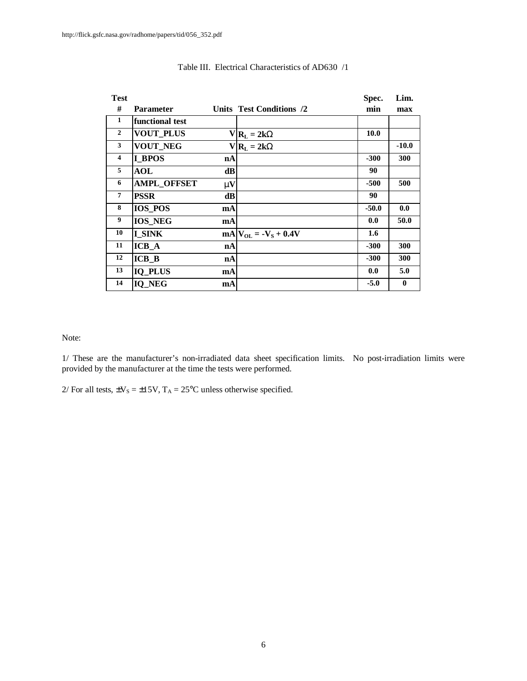| <b>Test</b>    |                    |              |                           | Spec.            | Lim.     |
|----------------|--------------------|--------------|---------------------------|------------------|----------|
| #              | <b>Parameter</b>   |              | Units Test Conditions /2  | min              | max      |
| 1              | functional test    |              |                           |                  |          |
| $\overline{2}$ | <b>VOUT_PLUS</b>   |              | $V R_L = 2kW$             | 10.0             |          |
| 3              | VOUT_NEG           |              | $V R_L = 2kW$             |                  | $-10.0$  |
| 4              | <b>I</b> BPOS      | nA           |                           | $-300$           | 300      |
| 5              | <b>AOL</b>         | dB           |                           | 90               |          |
| 6              | <b>AMPL_OFFSET</b> | $\mathbf{m}$ |                           | $-500$           | 500      |
| 7              | <b>PSSR</b>        | dB           |                           | 90               |          |
| 8              | <b>IOS_POS</b>     | mA           |                           | $-50.0$          | 0.0      |
| 9              | <b>IOS_NEG</b>     | mA           |                           | 0.0              | 50.0     |
| 10             | I SINK             |              | $mA V_{OL} = -V_S + 0.4V$ | $1.6\phantom{0}$ |          |
| 11             | $ICB_A$            | nA           |                           | $-300$           | 300      |
| 12             | $ICB$ <sub>B</sub> | nA           |                           | $-300$           | 300      |
| 13             | <b>IQ PLUS</b>     | mA           |                           | 0.0              | 5.0      |
| 14             | IQ_NEG             | mA           |                           | $-5.0$           | $\bf{0}$ |

#### Table III. Electrical Characteristics of AD630 /1

Note:

1/ These are the manufacturer's non-irradiated data sheet specification limits. No post-irradiation limits were provided by the manufacturer at the time the tests were performed.

2/ For all tests,  $\pm V_s = \pm 15V$ ,  $T_A = 25^{\circ}$ C unless otherwise specified.